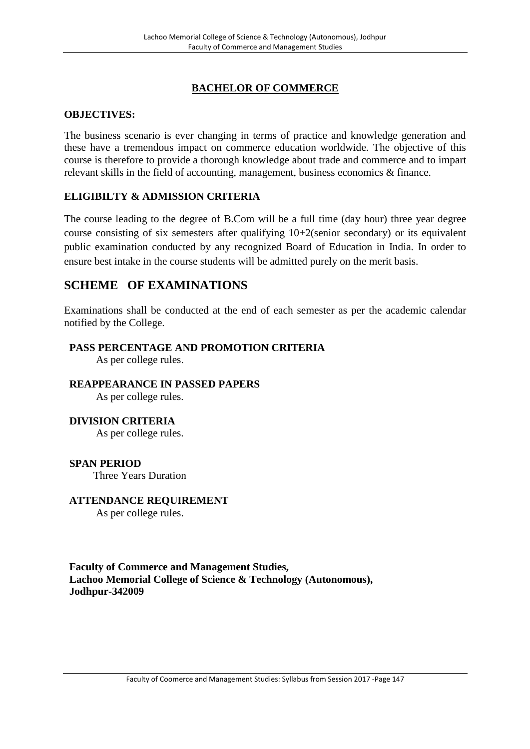# **BACHELOR OF COMMERCE**

# **OBJECTIVES:**

The business scenario is ever changing in terms of practice and knowledge generation and these have a tremendous impact on commerce education worldwide. The objective of this course is therefore to provide a thorough knowledge about trade and commerce and to impart relevant skills in the field of accounting, management, business economics & finance.

# **ELIGIBILTY & ADMISSION CRITERIA**

The course leading to the degree of B.Com will be a full time (day hour) three year degree course consisting of six semesters after qualifying 10+2(senior secondary) or its equivalent public examination conducted by any recognized Board of Education in India. In order to ensure best intake in the course students will be admitted purely on the merit basis.

# **SCHEME OF EXAMINATIONS**

Examinations shall be conducted at the end of each semester as per the academic calendar notified by the College.

# **PASS PERCENTAGE AND PROMOTION CRITERIA**

As per college rules.

# **REAPPEARANCE IN PASSED PAPERS**

As per college rules.

# **DIVISION CRITERIA**

As per college rules.

#### **SPAN PERIOD** Three Years Duration

**ATTENDANCE REQUIREMENT** As per college rules.

**Faculty of Commerce and Management Studies, Lachoo Memorial College of Science & Technology (Autonomous), Jodhpur-342009**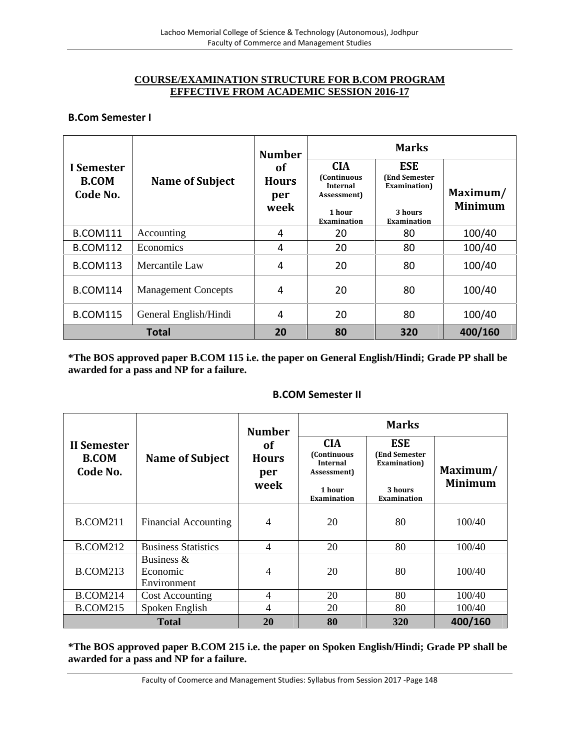# **COURSE/EXAMINATION STRUCTURE FOR B.COM PROGRAM EFFECTIVE FROM ACADEMIC SESSION 2016-17**

## **B.Com Semester I**

|                                        | <b>Name of Subject</b>     | <b>Number</b>                            | <b>Marks</b>                                                                                |                                                                       |                            |  |
|----------------------------------------|----------------------------|------------------------------------------|---------------------------------------------------------------------------------------------|-----------------------------------------------------------------------|----------------------------|--|
| I Semester<br><b>B.COM</b><br>Code No. |                            | <b>of</b><br><b>Hours</b><br>per<br>week | <b>CIA</b><br>(Continuous<br><b>Internal</b><br>Assessment)<br>1 hour<br><b>Examination</b> | <b>ESE</b><br>(End Semester<br>Examination)<br>3 hours<br>Examination | Maximum/<br><b>Minimum</b> |  |
| <b>B.COM111</b>                        | Accounting                 | 4                                        | 20                                                                                          | 80                                                                    | 100/40                     |  |
| <b>B.COM112</b>                        | Economics                  | 4                                        | 20                                                                                          | 80                                                                    | 100/40                     |  |
| <b>B.COM113</b>                        | Mercantile Law             | 4                                        | 20                                                                                          | 80                                                                    | 100/40                     |  |
| <b>B.COM114</b>                        | <b>Management Concepts</b> | 4                                        | 20                                                                                          | 80                                                                    | 100/40                     |  |
| <b>B.COM115</b>                        | General English/Hindi      | 4                                        | 20                                                                                          | 80                                                                    | 100/40                     |  |
| <b>Total</b>                           |                            | 20                                       | 80                                                                                          | 320                                                                   | 400/160                    |  |

**\*The BOS approved paper B.COM 115 i.e. the paper on General English/Hindi; Grade PP shall be awarded for a pass and NP for a failure.**

#### **B.COM Semester II**

|                                         | <b>Name of Subject</b>      | <b>Number</b><br>of<br><b>Hours</b><br>per<br>week | <b>Marks</b>                                                                                        |                                                                              |                            |  |
|-----------------------------------------|-----------------------------|----------------------------------------------------|-----------------------------------------------------------------------------------------------------|------------------------------------------------------------------------------|----------------------------|--|
| II Semester<br><b>B.COM</b><br>Code No. |                             |                                                    | <b>CIA</b><br><b>(Continuous)</b><br><b>Internal</b><br>Assessment)<br>1 hour<br><b>Examination</b> | <b>ESE</b><br>(End Semester<br>Examination)<br>3 hours<br><b>Examination</b> | Maximum/<br><b>Minimum</b> |  |
|                                         |                             |                                                    |                                                                                                     |                                                                              |                            |  |
| <b>B.COM211</b>                         | <b>Financial Accounting</b> | $\overline{4}$                                     | 20                                                                                                  | 80                                                                           | 100/40                     |  |
| <b>B.COM212</b>                         | <b>Business Statistics</b>  | $\overline{4}$                                     | 20                                                                                                  | 80                                                                           | 100/40                     |  |
|                                         | Business $\&$               |                                                    |                                                                                                     |                                                                              |                            |  |
| <b>B.COM213</b>                         | Economic<br>Environment     | 4                                                  | 20                                                                                                  | 80                                                                           | 100/40                     |  |
| <b>B.COM214</b>                         | <b>Cost Accounting</b>      | 4                                                  | 20                                                                                                  | 80                                                                           | 100/40                     |  |
| <b>B.COM215</b>                         | Spoken English              | $\overline{4}$                                     | 20                                                                                                  | 80                                                                           | 100/40                     |  |
|                                         | <b>Total</b>                | 20                                                 | 80                                                                                                  | 320                                                                          | 400/160                    |  |

**\*The BOS approved paper B.COM 215 i.e. the paper on Spoken English/Hindi; Grade PP shall be awarded for a pass and NP for a failure.**

Faculty of Coomerce and Management Studies: Syllabus from Session 2017 -Page 148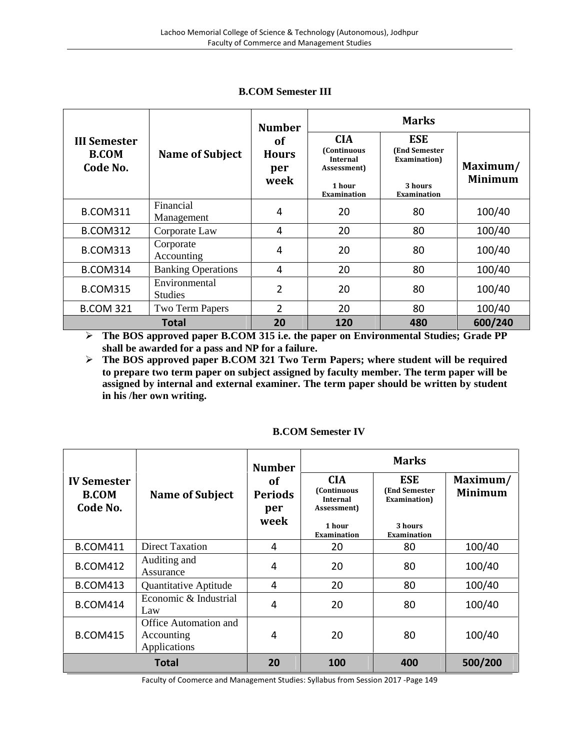|                                                 | <b>Name of Subject</b>          | <b>Number</b><br>of<br><b>Hours</b><br>per<br>week | <b>Marks</b>                                                                                |                                                                               |                            |
|-------------------------------------------------|---------------------------------|----------------------------------------------------|---------------------------------------------------------------------------------------------|-------------------------------------------------------------------------------|----------------------------|
| <b>III Semester</b><br><b>B.COM</b><br>Code No. |                                 |                                                    | <b>CIA</b><br>(Continuous<br><b>Internal</b><br>Assessment)<br>1 hour<br><b>Examination</b> | <b>ESE</b><br><b>(End Semester)</b><br>Examination)<br>3 hours<br>Examination | Maximum/<br><b>Minimum</b> |
| <b>B.COM311</b>                                 | Financial<br>Management         | $\overline{4}$                                     | 20                                                                                          | 80                                                                            | 100/40                     |
| <b>B.COM312</b>                                 | Corporate Law                   | 4                                                  | 20                                                                                          | 80                                                                            | 100/40                     |
| <b>B.COM313</b>                                 | Corporate<br>Accounting         | 4                                                  | 20                                                                                          | 80                                                                            | 100/40                     |
| <b>B.COM314</b>                                 | <b>Banking Operations</b>       | 4                                                  | 20                                                                                          | 80                                                                            | 100/40                     |
| <b>B.COM315</b>                                 | Environmental<br><b>Studies</b> | 2                                                  | 20                                                                                          | 80                                                                            | 100/40                     |
| <b>B.COM 321</b>                                | Two Term Papers                 | $\overline{2}$                                     | 20                                                                                          | 80                                                                            | 100/40                     |
|                                                 | Total                           | 20                                                 | 120                                                                                         | 480                                                                           | 600/240                    |

# **B.COM Semester III**

 **The BOS approved paper B.COM 315 i.e. the paper on Environmental Studies; Grade PP shall be awarded for a pass and NP for a failure.**

 **The BOS approved paper B.COM 321 Two Term Papers;where student will be required to prepare two term paper on subject assigned by faculty member. The term paper will be assigned by internal and external examiner. The term papershould be written by student in his /her own writing.**

|                                                |                                                     | <b>Number</b>                       | <b>Marks</b>                                                |                                                     |                            |  |
|------------------------------------------------|-----------------------------------------------------|-------------------------------------|-------------------------------------------------------------|-----------------------------------------------------|----------------------------|--|
| <b>IV Semester</b><br><b>B.COM</b><br>Code No. | <b>Name of Subject</b>                              | of<br><b>Periods</b><br>per<br>week | <b>CIA</b><br>(Continuous<br><b>Internal</b><br>Assessment) | <b>ESE</b><br><b>(End Semester)</b><br>Examination) | Maximum/<br><b>Minimum</b> |  |
|                                                |                                                     |                                     | 1 hour<br><b>Examination</b>                                | 3 hours<br><b>Examination</b>                       |                            |  |
| <b>B.COM411</b>                                | Direct Taxation                                     | 4                                   | 20                                                          | 80                                                  | 100/40                     |  |
| <b>B.COM412</b>                                | Auditing and<br>Assurance                           | 4                                   | 20                                                          | 80                                                  | 100/40                     |  |
| <b>B.COM413</b>                                | Quantitative Aptitude                               | 4                                   | 20                                                          | 80                                                  | 100/40                     |  |
| <b>B.COM414</b>                                | Economic & Industrial<br>Law                        | 4                                   | 20                                                          | 80                                                  | 100/40                     |  |
| <b>B.COM415</b>                                | Office Automation and<br>Accounting<br>Applications | 4                                   | 20                                                          | 80                                                  | 100/40                     |  |
|                                                | <b>Total</b>                                        | 20                                  | 100                                                         | 400                                                 | 500/200                    |  |

# **B.COM Semester IV**

Faculty of Coomerce and Management Studies: Syllabus from Session 2017 -Page 149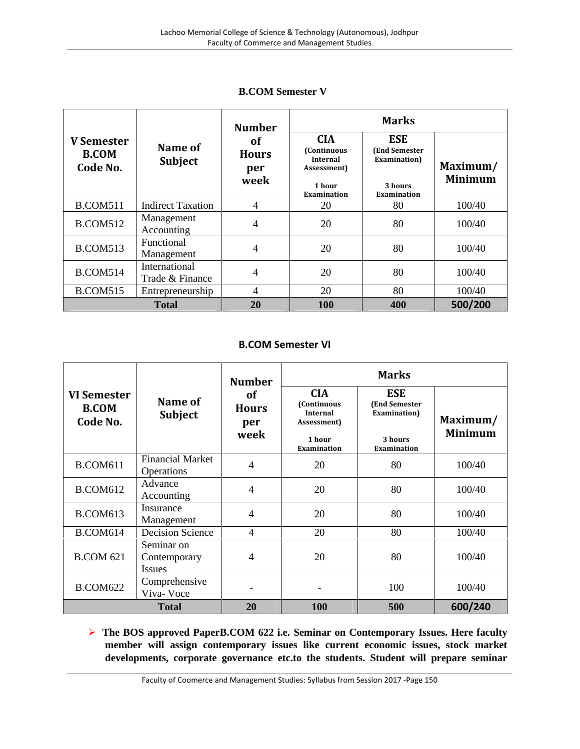|                                               | Name of<br><b>Subject</b>        | <b>Number</b><br><b>of</b><br><b>Hours</b><br>per<br>week | <b>Marks</b>                                                                                       |                                                                                      |                            |  |
|-----------------------------------------------|----------------------------------|-----------------------------------------------------------|----------------------------------------------------------------------------------------------------|--------------------------------------------------------------------------------------|----------------------------|--|
| <b>V</b> Semester<br><b>B.COM</b><br>Code No. |                                  |                                                           | <b>CIA</b><br><b>(Continuous</b><br><b>Internal</b><br>Assessment)<br>1 hour<br><b>Examination</b> | <b>ESE</b><br><b>(End Semester)</b><br>Examination)<br>3 hours<br><b>Examination</b> | Maximum/<br><b>Minimum</b> |  |
| <b>B.COM511</b>                               | <b>Indirect Taxation</b>         | $\overline{4}$                                            | 20                                                                                                 | 80                                                                                   | 100/40                     |  |
| <b>B.COM512</b>                               | Management<br>Accounting         | 4                                                         | 20                                                                                                 | 80                                                                                   | 100/40                     |  |
| <b>B.COM513</b>                               | Functional<br>Management         | 4                                                         | 20                                                                                                 | 80                                                                                   | 100/40                     |  |
| <b>B.COM514</b>                               | International<br>Trade & Finance | 4                                                         | 20                                                                                                 | 80                                                                                   | 100/40                     |  |
| <b>B.COM515</b>                               | Entrepreneurship                 | 4                                                         | 20                                                                                                 | 80                                                                                   | 100/40                     |  |
|                                               | <b>Total</b>                     | 20                                                        | 100                                                                                                | 400                                                                                  | 500/200                    |  |

# **B.COM Semester V**

# **B.COM Semester VI**

|                                                | Name of<br><b>Subject</b>                   | <b>Number</b><br>of<br><b>Hours</b><br>per<br>week | <b>Marks</b>                                                                         |                                                                               |                            |  |
|------------------------------------------------|---------------------------------------------|----------------------------------------------------|--------------------------------------------------------------------------------------|-------------------------------------------------------------------------------|----------------------------|--|
| <b>VI Semester</b><br><b>B.COM</b><br>Code No. |                                             |                                                    | <b>CIA</b><br>(Continuous<br><b>Internal</b><br>Assessment)<br>1 hour<br>Examination | <b>ESE</b><br><b>(End Semester)</b><br>Examination)<br>3 hours<br>Examination | Maximum/<br><b>Minimum</b> |  |
| <b>B.COM611</b>                                | <b>Financial Market</b><br>Operations       | 4                                                  | 20                                                                                   | 80                                                                            | 100/40                     |  |
| <b>B.COM612</b>                                | Advance<br>Accounting                       | 4                                                  | 20                                                                                   | 80                                                                            | 100/40                     |  |
| <b>B.COM613</b>                                | Insurance<br>Management                     | 4                                                  | 20                                                                                   | 80                                                                            | 100/40                     |  |
| <b>B.COM614</b>                                | <b>Decision Science</b>                     | $\overline{4}$                                     | 20                                                                                   | 80                                                                            | 100/40                     |  |
| <b>B.COM 621</b>                               | Seminar on<br>Contemporary<br><b>Issues</b> | 4                                                  | 20                                                                                   | 80                                                                            | 100/40                     |  |
| <b>B.COM622</b>                                | Comprehensive<br>Viva-Voce                  |                                                    |                                                                                      | 100                                                                           | 100/40                     |  |
|                                                | <b>Total</b>                                | 20                                                 | 100                                                                                  | 500                                                                           | 600/240                    |  |

 **The BOS approved PaperB.COM 622 i.e. Seminar on Contemporary Issues. Here faculty member will assign contemporary issues like current economic issues, stock market developments, corporate governance etc.to the students. Student will prepare seminar**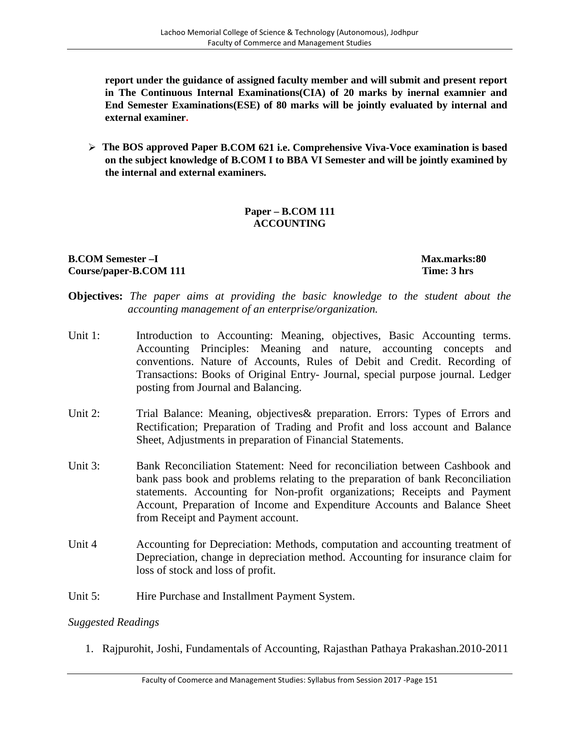**report under the guidance of assigned faculty member and will submit and present report in The Continuous Internal Examinations(CIA) of 20 marks by inernal examnier and End Semester Examinations(ESE) of 80 marks will be jointly evaluated by internal and external examiner.**

 **The BOS approved Paper B.COM 621 i.e. Comprehensive Viva-Voce examination is based on the subject knowledge of B.COM I to BBA VI Semester and will be jointly examined by the internal and external examiners.**

# **Paper – B.COM 111 ACCOUNTING**

# **B.COM Semester –I Max.marks:80 Course/paper-B.COM 111 Time: 3 hrs**

- **Objectives:** *The paper aims at providing the basic knowledge to the student about the accounting management of an enterprise/organization.*
- Unit 1: Introduction to Accounting: Meaning, objectives, Basic Accounting terms. Accounting Principles: Meaning and nature, accounting concepts and conventions. Nature of Accounts, Rules of Debit and Credit. Recording of Transactions: Books of Original Entry- Journal, special purpose journal. Ledger posting from Journal and Balancing.
- Unit 2: Trial Balance: Meaning, objectives & preparation. Errors: Types of Errors and Rectification; Preparation of Trading and Profit and loss account and Balance Sheet, Adjustments in preparation of Financial Statements.
- Unit 3: Bank Reconciliation Statement: Need for reconciliation between Cashbook and bank pass book and problems relating to the preparation of bank Reconciliation statements. Accounting for Non-profit organizations; Receipts and Payment Account, Preparation of Income and Expenditure Accounts and Balance Sheet from Receipt and Payment account.
- Unit 4 Accounting for Depreciation: Methods, computation and accounting treatment of Depreciation, change in depreciation method. Accounting for insurance claim for loss of stock and loss of profit.
- Unit 5: Hire Purchase and Installment Payment System.

# *Suggested Readings*

1. Rajpurohit, Joshi, Fundamentals of Accounting, Rajasthan Pathaya Prakashan.2010-2011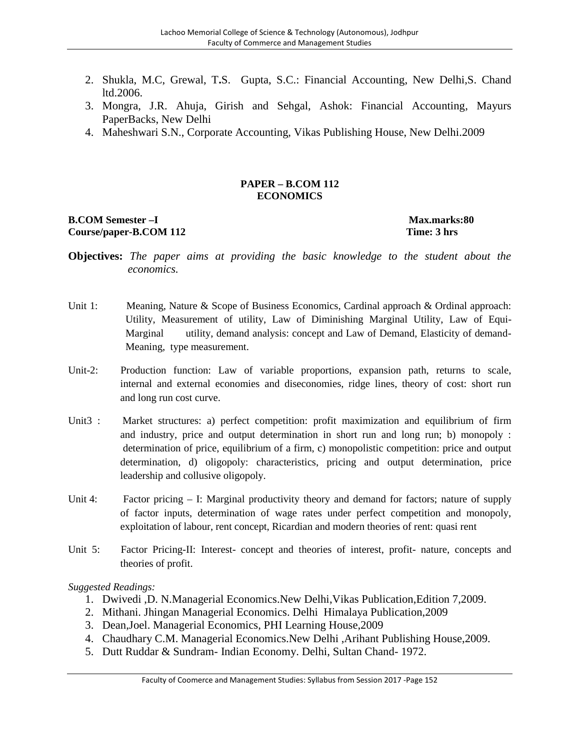- 2. Shukla, M.C, Grewal, T**.**S. Gupta, S.C.: Financial Accounting, New Delhi,S. Chand ltd.2006.
- 3. Mongra, J.R. Ahuja, Girish and Sehgal, Ashok: Financial Accounting, Mayurs PaperBacks, New Delhi
- 4. Maheshwari S.N., Corporate Accounting, Vikas Publishing House, New Delhi.2009

### **PAPER – B.COM 112 ECONOMICS**

#### **B.COM Semester –I Max.marks:80 Course/paper-B.COM 112 Time: 3 hrs**

- **Objectives:** *The paper aims at providing the basic knowledge to the student about the economics.*
- Unit 1: Meaning, Nature & Scope of Business Economics, Cardinal approach & Ordinal approach: Utility, Measurement of utility, Law of Diminishing Marginal Utility, Law of Equi- Marginal utility, demand analysis: concept and Law of Demand, Elasticity of demand- Meaning, type measurement.
- Unit-2: Production function: Law of variable proportions, expansion path, returns to scale, internal and external economies and diseconomies, ridge lines, theory of cost: short run and long run cost curve.
- Unit3 : Market structures: a) perfect competition: profit maximization and equilibrium of firm and industry, price and output determination in short run and long run; b) monopoly : determination of price, equilibrium of a firm, c) monopolistic competition: price and output determination, d) oligopoly: characteristics, pricing and output determination, price leadership and collusive oligopoly.
- Unit 4: Factor pricing I: Marginal productivity theory and demand for factors; nature of supply of factor inputs, determination of wage rates under perfect competition and monopoly, exploitation of labour, rent concept, Ricardian and modern theories of rent: quasi rent
- Unit 5: Factor Pricing-II: Interest- concept and theories of interest, profit- nature, concepts and theories of profit.

- 1. Dwivedi ,D. N.Managerial Economics.New Delhi,Vikas Publication,Edition 7,2009.
- 2. Mithani. Jhingan Managerial Economics. Delhi Himalaya Publication,2009
- 3. Dean,Joel. Managerial Economics, PHI Learning House,2009
- 4. Chaudhary C.M. Managerial Economics.New Delhi ,Arihant Publishing House,2009.
- 5. Dutt Ruddar & Sundram- Indian Economy. Delhi, Sultan Chand- 1972.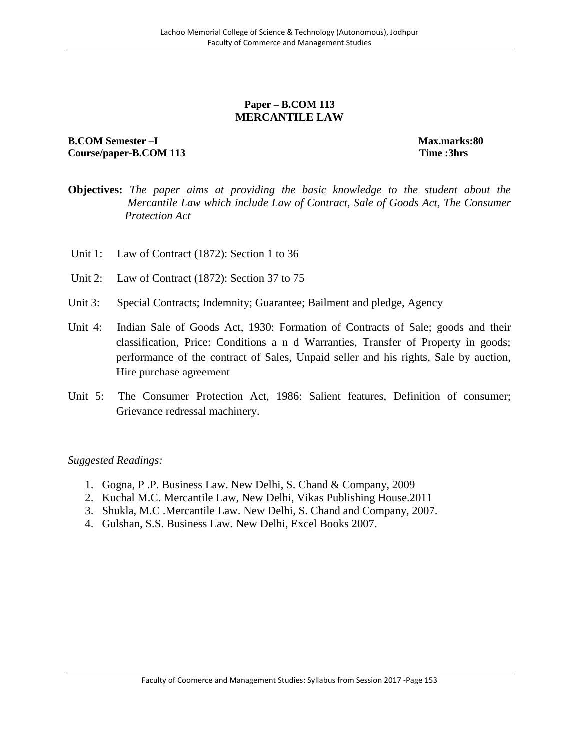# **Paper – B.COM 113 MERCANTILE LAW**

# **B.COM Semester –I Max.marks:80 Course/paper-B.COM 113 Time :3hrs**

- **Objectives:** *The paper aims at providing the basic knowledge to the student about the Mercantile Law which include Law of Contract, Sale of Goods Act, The Consumer Protection Act*
- Unit 1: Law of Contract (1872): Section 1 to 36
- Unit 2: Law of Contract (1872): Section 37 to 75
- Unit 3: Special Contracts; Indemnity; Guarantee; Bailment and pledge, Agency
- Unit 4: Indian Sale of Goods Act, 1930: Formation of Contracts of Sale; goods and their classification, Price: Conditions a n d Warranties, Transfer of Property in goods; performance of the contract of Sales, Unpaid seller and his rights, Sale by auction, Hire purchase agreement
- Unit 5: The Consumer Protection Act, 1986: Salient features, Definition of consumer; Grievance redressal machinery.

- 1. Gogna, P .P. Business Law. New Delhi, S. Chand & Company, 2009
- 2. Kuchal M.C. Mercantile Law, New Delhi, Vikas Publishing House.2011
- 3. Shukla, M.C .Mercantile Law. New Delhi, S. Chand and Company, 2007.
- 4. Gulshan, S.S. Business Law. New Delhi, Excel Books 2007.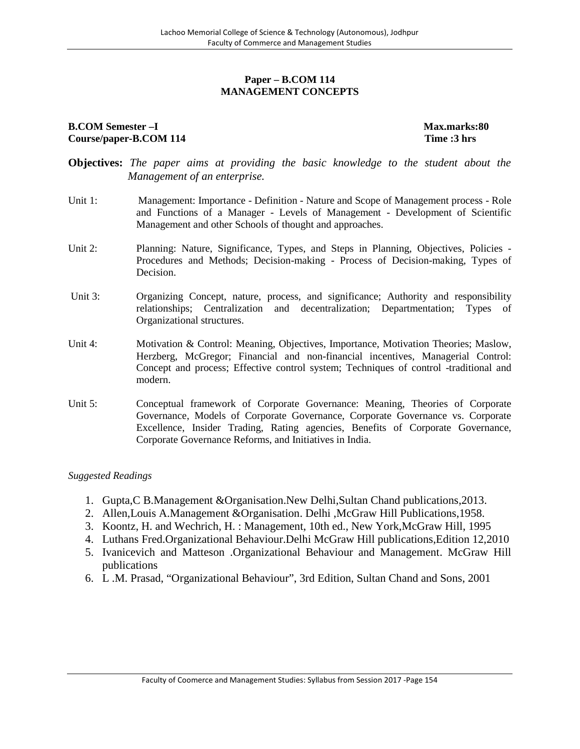# **Paper – B.COM 114 MANAGEMENT CONCEPTS**

#### **B.COM Semester –I Max.marks:80 Course/paper-B.COM 114 Time :3 hrs**

- **Objectives:** *The paper aims at providing the basic knowledge to the student about the Management of an enterprise.*
- Unit 1: Management: Importance Definition Nature and Scope of Management process Role and Functions of a Manager - Levels of Management - Development of Scientific Management and other Schools of thought and approaches.
- Unit 2: Planning: Nature, Significance, Types, and Steps in Planning, Objectives, Policies -Procedures and Methods; Decision-making - Process of Decision-making, Types of Decision.
- Unit 3: Organizing Concept, nature, process, and significance; Authority and responsibility relationships; Centralization and decentralization; Departmentation; Types of Organizational structures.
- Unit 4: Motivation & Control: Meaning, Objectives, Importance, Motivation Theories; Maslow, Herzberg, McGregor; Financial and non-financial incentives, Managerial Control: Concept and process; Effective control system; Techniques of control -traditional and modern.
- Unit 5: Conceptual framework of Corporate Governance: Meaning, Theories of Corporate Governance, Models of Corporate Governance, Corporate Governance vs. Corporate Excellence, Insider Trading, Rating agencies, Benefits of Corporate Governance, Corporate Governance Reforms, and Initiatives in India.

- 1. Gupta,C B.Management &Organisation.New Delhi,Sultan Chand publications,2013.
- 2. Allen,Louis A.Management &Organisation. Delhi ,McGraw Hill Publications,1958.
- 3. Koontz, H. and Wechrich, H. : Management, 10th ed., New York,McGraw Hill, 1995
- 4. Luthans Fred.Organizational Behaviour.Delhi McGraw Hill publications,Edition 12,2010
- 5. Ivanicevich and Matteson .Organizational Behaviour and Management. McGraw Hill publications
- 6. L .M. Prasad, "Organizational Behaviour", 3rd Edition, Sultan Chand and Sons, 2001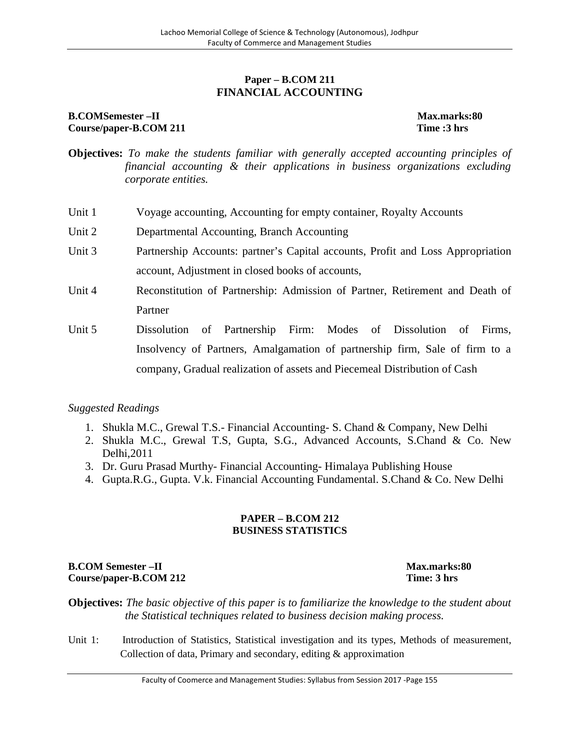# **Paper – B.COM 211 FINANCIAL ACCOUNTING**

# **B.COMSemester –II Max.marks:80 Course/paper-B.COM 211 Time :3 hrs**

- **Objectives:** *To make the students familiar with generally accepted accounting principles of financial accounting & their applications in business organizations excluding corporate entities.*
- Unit 1 Voyage accounting, Accounting for empty container, Royalty Accounts
- Unit 2 Departmental Accounting, Branch Accounting
- Unit 3 Partnership Accounts: partner's Capital accounts, Profit and Loss Appropriation account, Adjustment in closed books of accounts,
- Unit 4 Reconstitution of Partnership: Admission of Partner, Retirement and Death of Partner
- Unit 5 Dissolution of Partnership Firm: Modes of Dissolution of Firms, Insolvency of Partners, Amalgamation of partnership firm, Sale of firm to a company, Gradual realization of assets and Piecemeal Distribution of Cash

# *Suggested Readings*

- 1. Shukla M.C., Grewal T.S.- Financial Accounting- S. Chand & Company, New Delhi
- 2. Shukla M.C., Grewal T.S, Gupta, S.G., Advanced Accounts, S.Chand & Co. New Delhi,2011
- 3. Dr. Guru Prasad Murthy- Financial Accounting- Himalaya Publishing House
- 4. Gupta.R.G., Gupta. V.k. Financial Accounting Fundamental. S.Chand & Co. New Delhi

#### **PAPER – B.COM 212 BUSINESS STATISTICS**

# **B.COM Semester –II Max.marks:80 Course/paper-B.COM 212 Time: 3 hrs**

**Objectives:** *The basic objective of this paper is to familiarize the knowledge to the student about the Statistical techniques related to business decision making process.*

Unit 1: Introduction of Statistics, Statistical investigation and its types, Methods of measurement, Collection of data, Primary and secondary, editing & approximation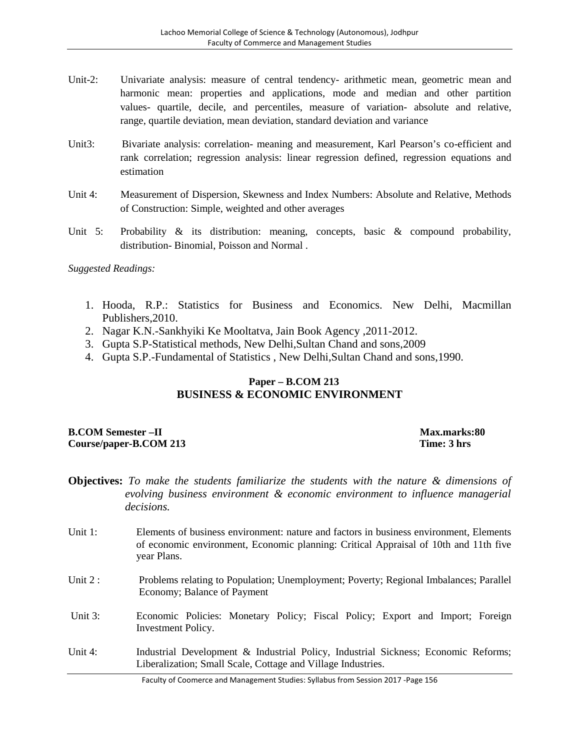- Unit-2: Univariate analysis: measure of central tendency- arithmetic mean, geometric mean and harmonic mean: properties and applications, mode and median and other partition values- quartile, decile, and percentiles, measure of variation- absolute and relative, range, quartile deviation, mean deviation, standard deviation and variance
- Unit3: Bivariate analysis: correlation- meaning and measurement, Karl Pearson's co-efficient and rank correlation; regression analysis: linear regression defined, regression equations and estimation
- Unit 4: Measurement of Dispersion, Skewness and Index Numbers: Absolute and Relative, Methods of Construction: Simple, weighted and other averages
- Unit 5: Probability & its distribution: meaning, concepts, basic & compound probability, distribution- Binomial, Poisson and Normal .

*Suggested Readings:*

- 1. Hooda, R.P.: Statistics for Business and Economics. New Delhi, Macmillan Publishers,2010.
- 2. Nagar K.N.-Sankhyiki Ke Mooltatva, Jain Book Agency ,2011-2012.
- 3. Gupta S.P-Statistical methods, New Delhi,Sultan Chand and sons,2009
- 4. Gupta S.P.-Fundamental of Statistics , New Delhi,Sultan Chand and sons,1990.

# **Paper – B.COM 213 BUSINESS & ECONOMIC ENVIRONMENT**

## **B.COM Semester –II Max.marks:80 Course/paper-B.COM 213 Time: 3 hrs**

- **Objectives:** *To make the students familiarize the students with the nature & dimensions of evolving business environment & economic environment to influence managerial decisions.*
- Unit 1: Elements of business environment: nature and factors in business environment, Elements of economic environment, Economic planning: Critical Appraisal of 10th and 11th five year Plans.
- Unit 2 : Problems relating to Population; Unemployment; Poverty; Regional Imbalances; Parallel Economy; Balance of Payment
- Unit 3: Economic Policies: Monetary Policy; Fiscal Policy; Export and Import; Foreign Investment Policy.
- Unit 4: Industrial Development & Industrial Policy, Industrial Sickness; Economic Reforms; Liberalization; Small Scale, Cottage and Village Industries.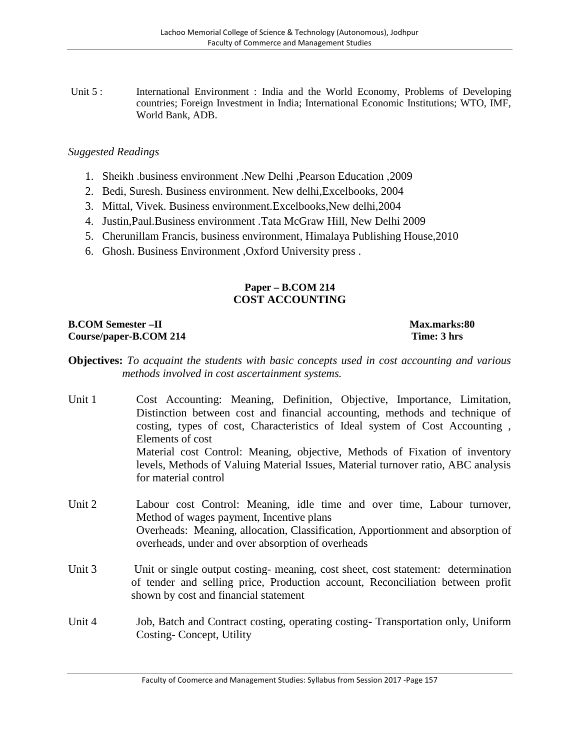Unit 5 : International Environment : India and the World Economy, Problems of Developing countries; Foreign Investment in India; International Economic Institutions; WTO, IMF, World Bank, ADB.

# *Suggested Readings*

- 1. Sheikh .business environment .New Delhi ,Pearson Education ,2009
- 2. Bedi, Suresh. Business environment. New delhi,Excelbooks, 2004
- 3. Mittal, Vivek. Business environment.Excelbooks,New delhi,2004
- 4. Justin,Paul.Business environment .Tata McGraw Hill, New Delhi 2009
- 5. Cherunillam Francis, business environment, Himalaya Publishing House,2010
- 6. Ghosh. Business Environment ,Oxford University press .

# **Paper – B.COM 214 COST ACCOUNTING**

**B.COM Semester –II Max.marks:80 Course/paper-B.COM 214 Time: 3 hrs**

- **Objectives:** *To acquaint the students with basic concepts used in cost accounting and various methods involved in cost ascertainment systems.*
- Unit 1 Cost Accounting: Meaning, Definition, Objective, Importance, Limitation, Distinction between cost and financial accounting, methods and technique of costing, types of cost, Characteristics of Ideal system of Cost Accounting , Elements of cost Material cost Control: Meaning, objective, Methods of Fixation of inventory levels, Methods of Valuing Material Issues, Material turnover ratio, ABC analysis for material control
- Unit 2 Labour cost Control: Meaning, idle time and over time, Labour turnover, Method of wages payment, Incentive plans Overheads: Meaning, allocation, Classification, Apportionment and absorption of overheads, under and over absorption of overheads
- Unit 3 Unit or single output costing-meaning, cost sheet, cost statement: determination of tender and selling price, Production account, Reconciliation between profit shown by cost and financial statement
- Unit 4 Job, Batch and Contract costing, operating costing- Transportation only, Uniform Costing- Concept, Utility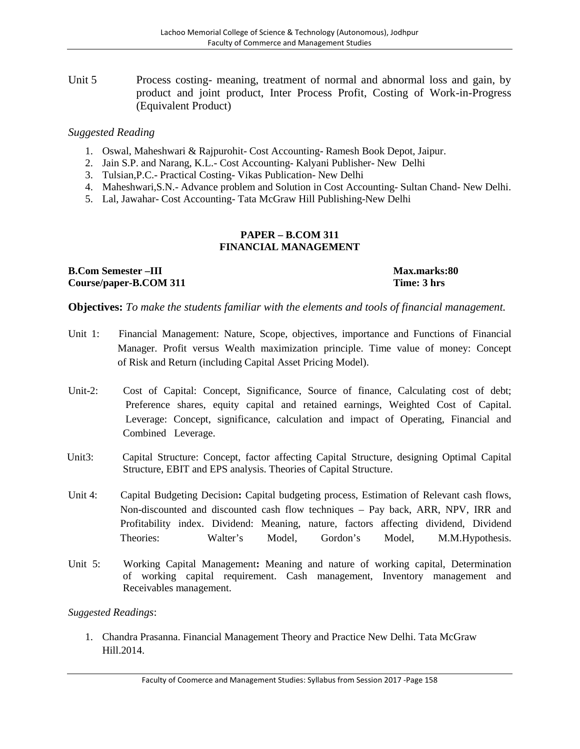Unit 5 Process costing- meaning, treatment of normal and abnormal loss and gain, by product and joint product, Inter Process Profit, Costing of Work-in-Progress (Equivalent Product)

# *Suggested Reading*

- 1. Oswal, Maheshwari & Rajpurohit- Cost Accounting- Ramesh Book Depot, Jaipur.
- 2. Jain S.P. and Narang, K.L.- Cost Accounting- Kalyani Publisher- New Delhi
- 3. Tulsian,P.C.- Practical Costing- Vikas Publication- New Delhi
- 4. Maheshwari,S.N.- Advance problem and Solution in Cost Accounting- Sultan Chand- New Delhi.
- 5. Lal, Jawahar- Cost Accounting- Tata McGraw Hill Publishing-New Delhi

#### **PAPER – B.COM 311 FINANCIAL MANAGEMENT**

**B.Com Semester –III Max.marks:80 Course/paper-B.COM 311 Time: 3 hrs**

**Objectives:** *To make the students familiar with the elements and tools of financial management.*

- Unit 1: Financial Management: Nature, Scope, objectives, importance and Functions of Financial Manager. Profit versus Wealth maximization principle. Time value of money: Concept of Risk and Return (including Capital Asset Pricing Model).
- Unit-2: Cost of Capital: Concept, Significance, Source of finance, Calculating cost of debt; Preference shares, equity capital and retained earnings, Weighted Cost of Capital. Leverage: Concept, significance, calculation and impact of Operating, Financial and Combined Leverage.
- Unit3: Capital Structure: Concept, factor affecting Capital Structure, designing Optimal Capital Structure, EBIT and EPS analysis. Theories of Capital Structure.
- Unit 4: Capital Budgeting Decision**:** Capital budgeting process, Estimation of Relevant cash flows, Non-discounted and discounted cash flow techniques – Pay back, ARR, NPV, IRR and Profitability index. Dividend: Meaning, nature, factors affecting dividend, Dividend Theories: Walter's Model, Gordon's Model, M.M.Hypothesis.
- Unit 5: Working Capital Management**:** Meaning and nature of working capital, Determination of working capital requirement. Cash management, Inventory management and Receivables management.

*Suggested Readings*:

1. Chandra Prasanna. Financial Management Theory and Practice New Delhi. Tata McGraw Hill.2014.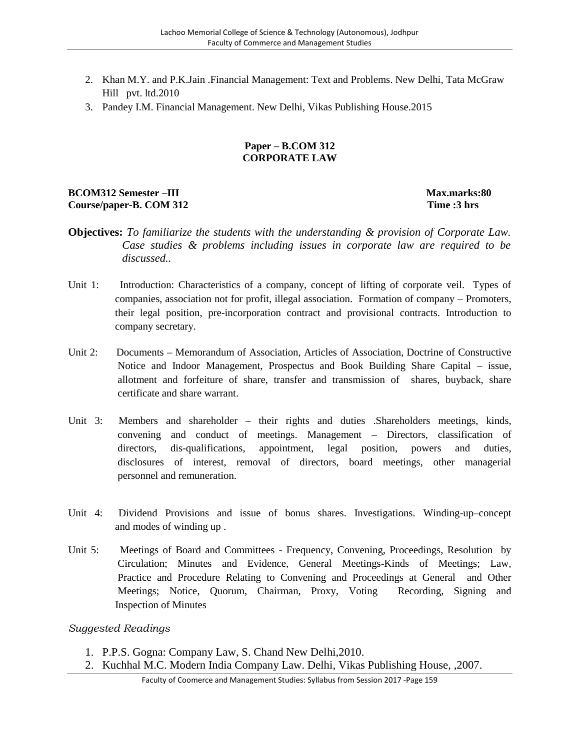- 2. Khan M.Y. and P.K.Jain .Financial Management: Text and Problems. New Delhi, Tata McGraw Hill pvt. ltd.2010
- 3. Pandey I.M. Financial Management. New Delhi, Vikas Publishing House.2015

## **Paper – B.COM 312 CORPORATE LAW**

# **BCOM312 Semester –III Max.marks:80 Course/paper-B. COM 312 Time :3 hrs**

**Objectives:** *To familiarize the students with the understanding & provision of Corporate Law. Case studies & problems including issues in corporate law are required to be discussed..*

- Unit 1: Introduction: Characteristics of a company, concept of lifting of corporate veil. Types of companies, association not for profit, illegal association. Formation of company – Promoters, their legal position, pre-incorporation contract and provisional contracts. Introduction to company secretary.
- Unit 2: Documents Memorandum of Association, Articles of Association, Doctrine of Constructive Notice and Indoor Management, Prospectus and Book Building Share Capital – issue, allotment and forfeiture of share, transfer and transmission of shares, buyback, share certificate and share warrant.
- Unit 3: Members and shareholder their rights and duties .Shareholders meetings, kinds, convening and conduct of meetings. Management – Directors, classification of directors, dis-qualifications, appointment, legal position, powers and duties, disclosures of interest, removal of directors, board meetings, other managerial personnel and remuneration.
- Unit 4: Dividend Provisions and issue of bonus shares. Investigations. Winding-up–concept and modes of winding up .
- Unit 5: Meetings of Board and Committees Frequency, Convening, Proceedings, Resolution by Circulation; Minutes and Evidence, General Meetings-Kinds of Meetings; Law, Practice and Procedure Relating to Convening and Proceedings at General and Other Meetings; Notice, Quorum, Chairman, Proxy, Voting Recording, Signing and Inspection of Minutes

- 1. P.P.S. Gogna: Company Law, S. Chand New Delhi,2010.
- 2. Kuchhal M.C. Modern India Company Law. Delhi, Vikas Publishing House, ,2007.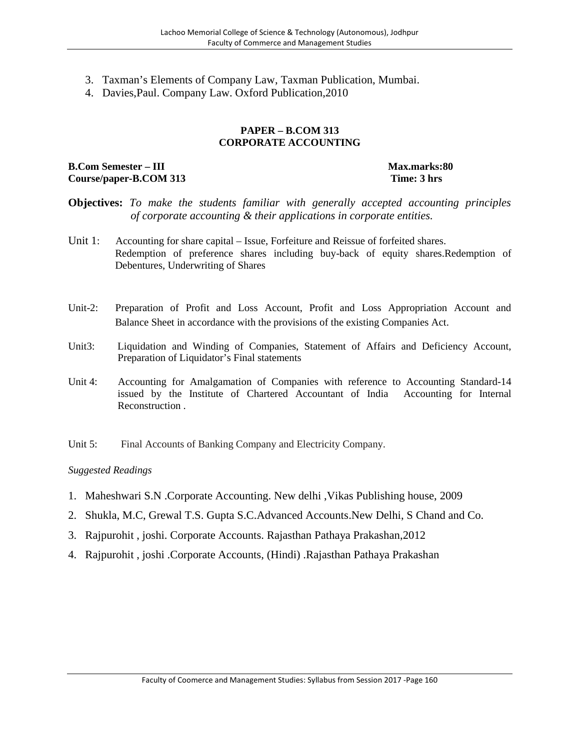- 3. Taxman's Elements of Company Law, Taxman Publication, Mumbai.
- 4. Davies,Paul. Company Law. Oxford Publication,2010

#### **PAPER – B.COM 313 CORPORATE ACCOUNTING**

# **B.Com Semester** – **III Max.marks:80 Course/paper-B.COM 313 Time: 3 hrs**

- **Objectives:** *To make the students familiar with generally accepted accounting principles of corporate accounting & their applications in corporate entities.*
- Unit 1: Accounting for share capital Issue, Forfeiture and Reissue of forfeited shares. Redemption of preference shares including buy-back of equity shares.Redemption of Debentures, Underwriting of Shares
- Unit-2: Preparation of Profit and Loss Account, Profit and Loss Appropriation Account and Balance Sheet in accordance with the provisions of the existing Companies Act.
- Unit3: Liquidation and Winding of Companies, Statement of Affairs and Deficiency Account, Preparation of Liquidator's Final statements
- Unit 4: Accounting for Amalgamation of Companies with reference to Accounting Standard-14 issued by the Institute of Chartered Accountant of India Accounting for Internal Reconstruction .
- Unit 5: Final Accounts of Banking Company and Electricity Company.

- 1. Maheshwari S.N .Corporate Accounting. New delhi ,Vikas Publishing house, 2009
- 2. Shukla, M.C, Grewal T.S. Gupta S.C.Advanced Accounts.New Delhi, S Chand and Co.
- 3. Rajpurohit , joshi. Corporate Accounts. Rajasthan Pathaya Prakashan,2012
- 4. Rajpurohit , joshi .Corporate Accounts, (Hindi) .Rajasthan Pathaya Prakashan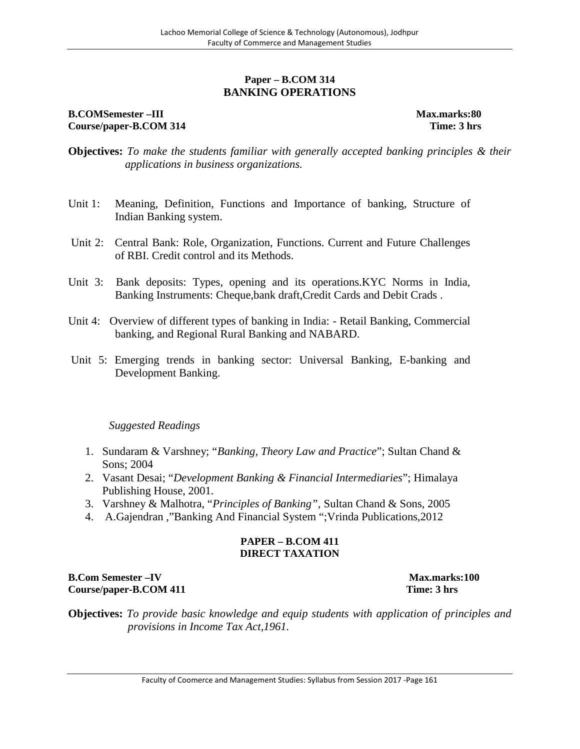# **Paper – B.COM 314 BANKING OPERATIONS**

# **B.COMSemester –III Max.marks:80 Course/paper-B.COM 314 Time: 3 hrs**

- **Objectives:** *To make the students familiar with generally accepted banking principles & their applications in business organizations.*
- Unit 1: Meaning, Definition, Functions and Importance of banking, Structure of Indian Banking system.
- Unit 2: Central Bank: Role, Organization, Functions. Current and Future Challenges of RBI. Credit control and its Methods.
- Unit 3: Bank deposits: Types, opening and its operations.KYC Norms in India, Banking Instruments: Cheque,bank draft,Credit Cards and Debit Crads .
- Unit 4: Overview of different types of banking in India: Retail Banking, Commercial banking, and Regional Rural Banking and NABARD.
- Unit 5: Emerging trends in banking sector: Universal Banking, E-banking and Development Banking.

# *Suggested Readings*

- 1. Sundaram & Varshney; "*Banking, Theory Law and Practice*"; Sultan Chand & Sons; 2004
- 2. Vasant Desai; "*Development Banking & Financial Intermediaries*"; Himalaya Publishing House, 2001.
- 3. Varshney & Malhotra, "*Principles of Banking",* Sultan Chand & Sons, 2005
- 4. A.Gajendran ,"Banking And Financial System ";Vrinda Publications,2012

## **PAPER – B.COM 411 DIRECT TAXATION**

## **B.Com Semester –IV Max.marks:100 Course/paper-B.COM 411 Time: 3 hrs**

**Objectives:** *To provide basic knowledge and equip students with application of principles and provisions in Income Tax Act,1961.*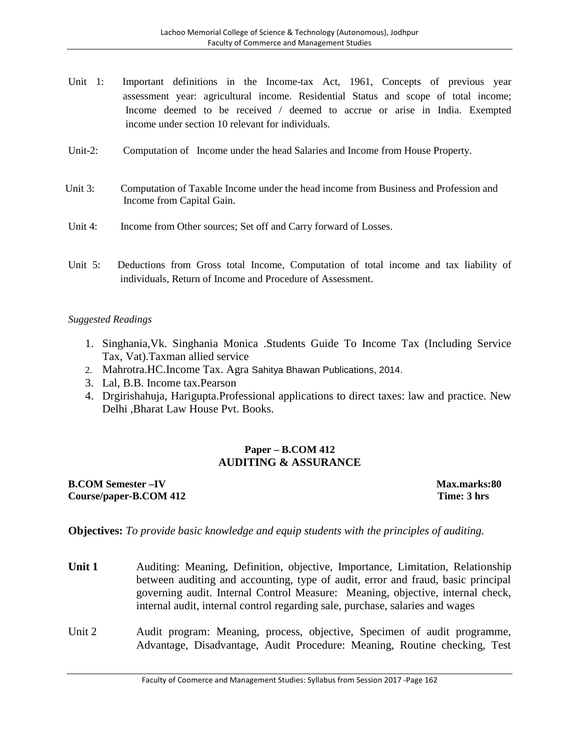- Unit 1: Important definitions in the Income-tax Act, 1961, Concepts of previous year assessment year: agricultural income. Residential Status and scope of total income; Income deemed to be received / deemed to accrue or arise in India. Exempted income under section 10 relevant for individuals.
- Unit-2: Computation of Income under the head Salaries and Income from House Property.
- Unit 3: Computation of Taxable Income under the head income from Business and Profession and Income from Capital Gain.
- Unit 4: Income from Other sources; Set off and Carry forward of Losses.
- Unit 5: Deductions from Gross total Income, Computation of total income and tax liability of individuals, Return of Income and Procedure of Assessment.

## *Suggested Readings*

- 1. Singhania,Vk. Singhania Monica .Students Guide To Income Tax (Including Service Tax, Vat).Taxman allied service
- 2. Mahrotra.HC.Income Tax. Agra Sahitya Bhawan Publications, 2014.
- 3. Lal, B.B. Income tax.Pearson
- 4. Drgirishahuja, Harigupta.Professional applications to direct taxes: law and practice. New Delhi ,Bharat Law House Pvt. Books.

# **Paper – B.COM 412 AUDITING & ASSURANCE**

#### **B.COM Semester –IV Max.marks:80 Course/paper-B.COM 412 Time: 3 hrs**

**Objectives:** *To provide basic knowledge and equip students with the principles of auditing.*

- **Unit 1** Auditing: Meaning, Definition, objective, Importance, Limitation, Relationship between auditing and accounting, type of audit, error and fraud, basic principal governing audit. Internal Control Measure: Meaning, objective, internal check, internal audit, internal control regarding sale, purchase, salaries and wages
- Unit 2 Audit program: Meaning, process, objective, Specimen of audit programme, Advantage, Disadvantage, Audit Procedure: Meaning, Routine checking, Test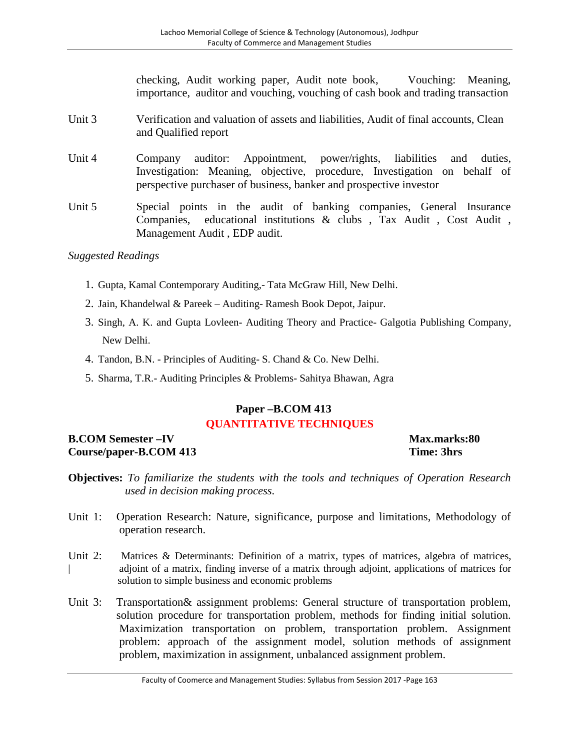checking, Audit working paper, Audit note book, Vouching: Meaning, importance, auditor and vouching, vouching of cash book and trading transaction

- Unit 3 Verification and valuation of assets and liabilities, Audit of final accounts, Clean and Qualified report
- Unit 4 Company auditor: Appointment, power/rights, liabilities and duties, Investigation: Meaning, objective, procedure, Investigation on behalf of perspective purchaser of business, banker and prospective investor
- Unit 5 Special points in the audit of banking companies, General Insurance Companies, educational institutions & clubs , Tax Audit , Cost Audit , Management Audit , EDP audit.

# *Suggested Readings*

- 1. Gupta, Kamal Contemporary Auditing,- Tata McGraw Hill, New Delhi.
- 2. Jain, Khandelwal & Pareek Auditing- Ramesh Book Depot, Jaipur.
- 3. Singh, A. K. and Gupta Lovleen- Auditing Theory and Practice- Galgotia Publishing Company, New Delhi.
- 4. Tandon, B.N. Principles of Auditing- S. Chand & Co. New Delhi.
- 5. Sharma, T.R.- Auditing Principles & Problems- Sahitya Bhawan, Agra

# **Paper –B.COM 413 QUANTITATIVE TECHNIQUES**

# **B.COM Semester –IV Max.marks:80 Course/paper-B.COM 413 Time: 3hrs**

- **Objectives:** *To familiarize the students with the tools and techniques of Operation Research used in decision making process.*
- Unit 1: Operation Research: Nature, significance, purpose and limitations, Methodology of operation research.
- Unit 2: Matrices & Determinants: Definition of a matrix, types of matrices, algebra of matrices, | adjoint of a matrix, finding inverse of a matrix through adjoint, applications of matrices for solution to simple business and economic problems
- Unit 3: Transportation& assignment problems: General structure of transportation problem, solution procedure for transportation problem, methods for finding initial solution. Maximization transportation on problem, transportation problem. Assignment problem: approach of the assignment model, solution methods of assignment problem, maximization in assignment, unbalanced assignment problem.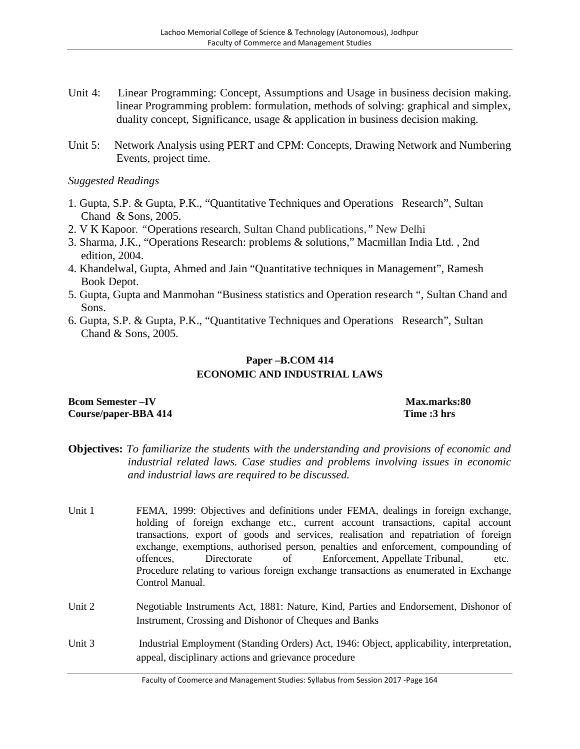- Unit 4: Linear Programming: Concept, Assumptions and Usage in business decision making. linear Programming problem: formulation, methods of solving: graphical and simplex, duality concept, Significance, usage & application in business decision making.
- Unit 5: Network Analysis using PERT and CPM: Concepts, Drawing Network and Numbering Events, project time.

# *Suggested Readings*

- 1. Gupta, S.P. & Gupta, P.K., "Quantitative Techniques and Operations Research", Sultan Chand & Sons, 2005.
- 2. V K Kapoor*. "*Operations research, Sultan Chand publications,*"* New Delhi
- 3. Sharma, J.K., "Operations Research: problems & solutions," Macmillan India Ltd. , 2nd edition, 2004.
- 4. Khandelwal, Gupta, Ahmed and Jain "Quantitative techniques in Management", Ramesh Book Depot.
- 5. Gupta, Gupta and Manmohan "Business statistics and Operation research ", Sultan Chand and Sons.
- 6. Gupta, S.P. & Gupta, P.K., "Quantitative Techniques and Operations Research", Sultan Chand & Sons, 2005.

#### **Paper –B.COM 414 ECONOMIC AND INDUSTRIAL LAWS**

## **Bcom Semester**  $-\mathbf{IV}$  **Max.marks:80 Course/paper-BBA 414 Time :3 hrs**

- **Objectives:** *To familiarize the students with the understanding and provisions of economic and industrial related laws. Case studies and problems involving issues in economic and industrial laws are required to be discussed.*
- Unit 1 FEMA, 1999: Objectives and definitions under FEMA, dealings in foreign exchange, holding of foreign exchange etc., current account transactions, capital account transactions, export of goods and services, realisation and repatriation of foreign exchange, exemptions, authorised person, penalties and enforcement, compounding of offences, Directorate of Enforcement, Appellate Tribunal, etc. Procedure relating to various foreign exchange transactions as enumerated in Exchange Control Manual.
- Unit 2 Negotiable Instruments Act, 1881: Nature, Kind, Parties and Endorsement, Dishonor of Instrument, Crossing and Dishonor of Cheques and Banks
- Unit 3 Industrial Employment (Standing Orders) Act, 1946: Object, applicability, interpretation, appeal, disciplinary actions and grievance procedure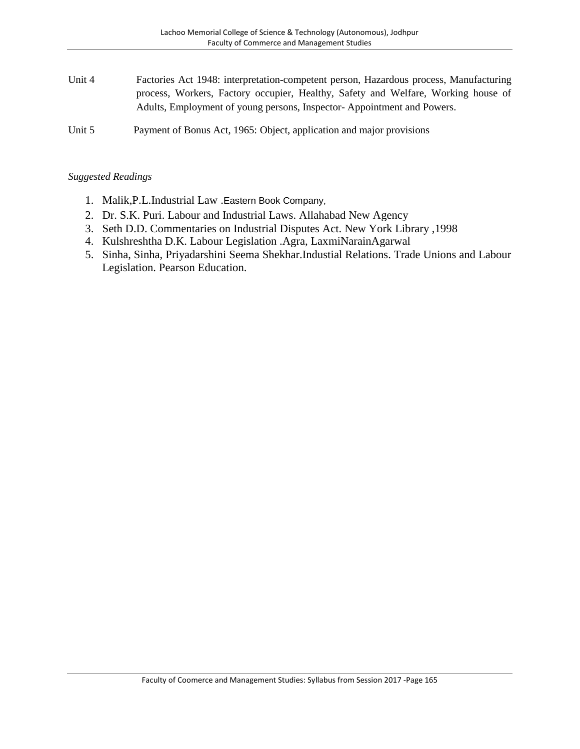Unit 4 Factories Act 1948: interpretation-competent person, Hazardous process, Manufacturing process, Workers, Factory occupier, Healthy, Safety and Welfare, Working house of Adults, Employment of young persons, Inspector- Appointment and Powers.

Unit 5 Payment of Bonus Act, 1965: Object, application and major provisions

- 1. Malik,P.L.Industrial Law .Eastern Book Company,
- 2. Dr. S.K. Puri. Labour and Industrial Laws. Allahabad New Agency
- 3. Seth D.D. Commentaries on Industrial Disputes Act. New York Library ,1998
- 4. Kulshreshtha D.K. Labour Legislation .Agra, LaxmiNarainAgarwal
- 5. Sinha, Sinha, Priyadarshini Seema Shekhar.Industial Relations. Trade Unions and Labour Legislation. Pearson Education.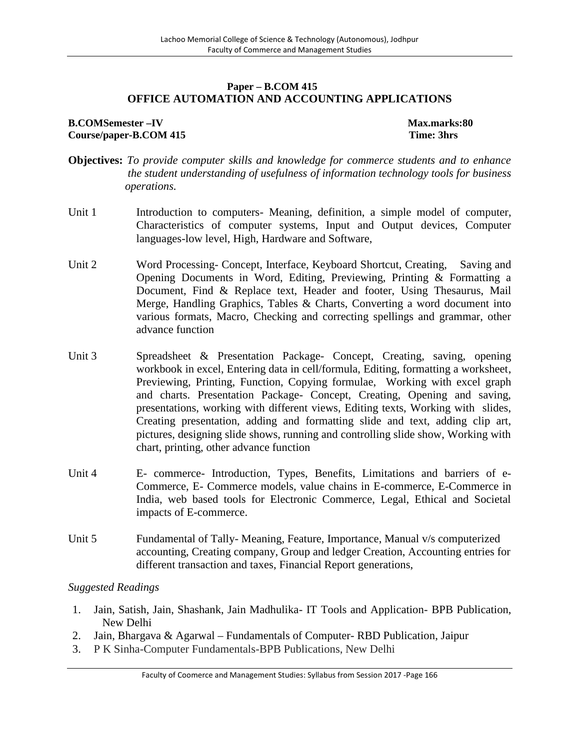# **Paper – B.COM 415 OFFICE AUTOMATION AND ACCOUNTING APPLICATIONS**

## **B.COMSemester –IV Max.marks:80 Course/paper-B.COM 415 Time: 3hrs**

- **Objectives:** *To provide computer skills and knowledge for commerce students and to enhance the student understanding of usefulness of information technology tools for business operations.*
- Unit 1 Introduction to computers- Meaning, definition, a simple model of computer, Characteristics of computer systems, Input and Output devices, Computer languages-low level, High, Hardware and Software,
- Unit 2 Word Processing- Concept, Interface, Keyboard Shortcut, Creating, Saving and Opening Documents in Word, Editing, Previewing, Printing & Formatting a Document, Find & Replace text, Header and footer, Using Thesaurus, Mail Merge, Handling Graphics, Tables & Charts, Converting a word document into various formats, Macro, Checking and correcting spellings and grammar, other advance function
- Unit 3 Spreadsheet & Presentation Package- Concept, Creating, saving, opening workbook in excel, Entering data in cell/formula, Editing, formatting a worksheet, Previewing, Printing, Function, Copying formulae, Working with excel graph and charts. Presentation Package- Concept, Creating, Opening and saving, presentations, working with different views, Editing texts, Working with slides, Creating presentation, adding and formatting slide and text, adding clip art, pictures, designing slide shows, running and controlling slide show, Working with chart, printing, other advance function
- Unit 4 E- commerce- Introduction, Types, Benefits, Limitations and barriers of e-Commerce, E- Commerce models, value chains in E-commerce, E-Commerce in India, web based tools for Electronic Commerce, Legal, Ethical and Societal impacts of E-commerce.
- Unit 5 Fundamental of Tally-Meaning, Feature, Importance, Manual v/s computerized accounting, Creating company, Group and ledger Creation, Accounting entries for different transaction and taxes, Financial Report generations,

- 1. Jain, Satish, Jain, Shashank, Jain Madhulika- IT Tools and Application- BPB Publication, New Delhi
- 2. Jain, Bhargava & Agarwal Fundamentals of Computer- RBD Publication, Jaipur
- 3. P K Sinha-Computer Fundamentals-BPB Publications, New Delhi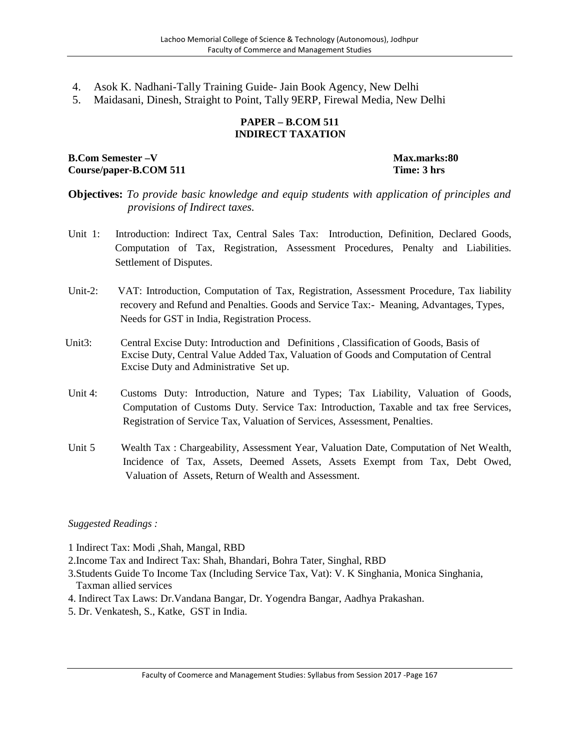- 4. Asok K. Nadhani-Tally Training Guide- Jain Book Agency, New Delhi
- 5. Maidasani, Dinesh, Straight to Point, Tally 9ERP, Firewal Media, New Delhi

#### **PAPER – B.COM 511 INDIRECT TAXATION**

**B.Com Semester –V Max.marks:80 Course/paper-B.COM 511 Time: 3 hrs**

# **Objectives:** *To provide basic knowledge and equip students with application of principles and provisions of Indirect taxes.*

- Unit 1: Introduction: Indirect Tax, Central Sales Tax: Introduction, Definition, Declared Goods, Computation of Tax, Registration, Assessment Procedures, Penalty and Liabilities. Settlement of Disputes.
- Unit-2: VAT: Introduction, Computation of Tax, Registration, Assessment Procedure, Tax liability recovery and Refund and Penalties. Goods and Service Tax:- Meaning, Advantages, Types, Needs for GST in India, Registration Process.
- Unit3: Central Excise Duty: Introduction and Definitions , Classification of Goods, Basis of Excise Duty, Central Value Added Tax, Valuation of Goods and Computation of Central Excise Duty and Administrative Set up.
- Unit 4: Customs Duty: Introduction, Nature and Types; Tax Liability, Valuation of Goods, Computation of Customs Duty. Service Tax: Introduction, Taxable and tax free Services, Registration of Service Tax, Valuation of Services, Assessment, Penalties.
- Unit 5 Wealth Tax : Chargeability, Assessment Year, Valuation Date, Computation of Net Wealth, Incidence of Tax, Assets, Deemed Assets, Assets Exempt from Tax, Debt Owed, Valuation of Assets, Return of Wealth and Assessment.

- 1 Indirect Tax: Modi ,Shah, Mangal, RBD
- 2.Income Tax and Indirect Tax: Shah, Bhandari, Bohra Tater, Singhal, RBD
- 3.Students Guide To Income Tax (Including Service Tax, Vat): V. K Singhania, Monica Singhania, Taxman allied services
- 4. Indirect Tax Laws: Dr.Vandana Bangar, Dr. Yogendra Bangar, Aadhya Prakashan.
- 5. Dr. Venkatesh, S., Katke, GST in India.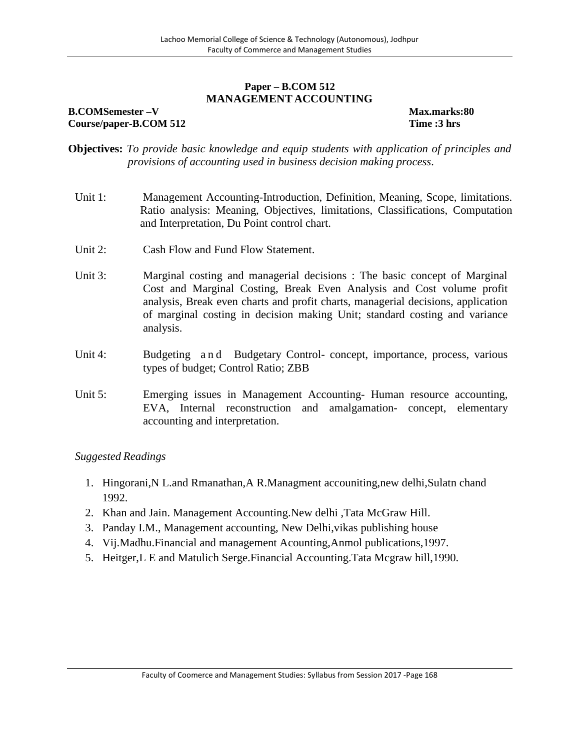# **Paper – B.COM 512 MANAGEMENT ACCOUNTING**

#### **B.COMSemester –V Max.marks:80 Course/paper-B.COM 512 Time :3 hrs**

- **Objectives:** *To provide basic knowledge and equip students with application of principles and provisions of accounting used in business decision making process.*
	- Unit 1: Management Accounting-Introduction, Definition, Meaning, Scope, limitations. Ratio analysis: Meaning, Objectives, limitations, Classifications, Computation and Interpretation, Du Point control chart.
	- Unit 2: Cash Flow and Fund Flow Statement.
	- Unit 3: Marginal costing and managerial decisions : The basic concept of Marginal Cost and Marginal Costing, Break Even Analysis and Cost volume profit analysis, Break even charts and profit charts, managerial decisions, application of marginal costing in decision making Unit; standard costing and variance analysis. Cost and Marginal Costing, Break Even Analysis and Cost volume profit<br>analysis, Break even charts and profit charts, managerial decisions, application<br>of marginal costing in decision making Unit; standard costing and varia
	- types of budget; Control Ratio; ZBB
	- Unit 5: Emerging issues in Management Accounting- Human resource accounting, EVA, Internal reconstruction and amalgamation- concept, elementary accounting and interpretation.

- 1. Hingorani,N L.and Rmanathan,A R.Managment accouniting,new delhi,Sulatn chand 1992.
- 2. Khan and Jain. Management Accounting.New delhi ,Tata McGraw Hill.
- 3. Panday I.M., Management accounting, New Delhi,vikas publishing house
- 4. Vij.Madhu.Financial and management Acounting,Anmol publications,1997.
- 5. Heitger,L E and Matulich Serge.Financial Accounting.Tata Mcgraw hill,1990.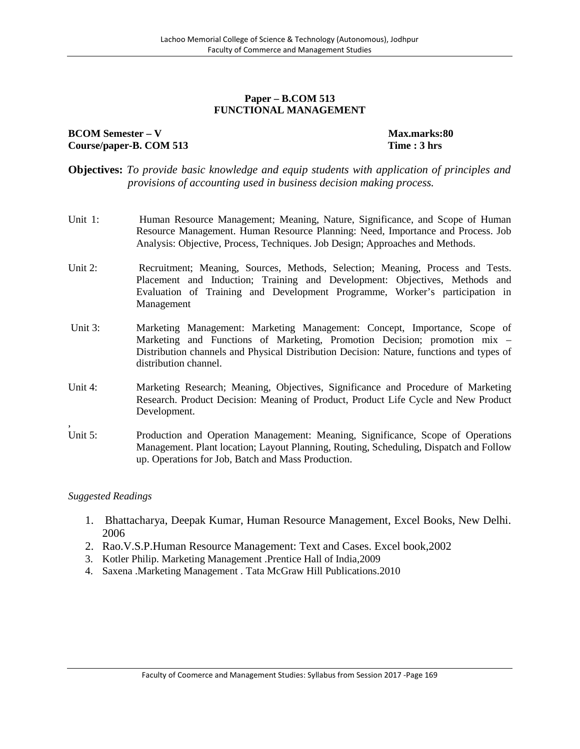#### **Paper – B.COM 513 FUNCTIONAL MANAGEMENT**

# **BCOM Semester** – **V Max.marks:80 Course/paper-B. COM 513 Time : 3 hrs**

- **Objectives:** *To provide basic knowledge and equip students with application of principles and provisions of accounting used in business decision making process.*
- Unit 1: Human Resource Management; Meaning, Nature, Significance, and Scope of Human Resource Management. Human Resource Planning: Need, Importance and Process. Job Analysis: Objective, Process, Techniques. Job Design; Approaches and Methods.
- Unit 2: Recruitment; Meaning, Sources, Methods, Selection; Meaning, Process and Tests. Placement and Induction; Training and Development: Objectives, Methods and Evaluation of Training and Development Programme, Worker's participation in Management
- Unit 3: Marketing Management: Marketing Management: Concept, Importance, Scope of Marketing and Functions of Marketing, Promotion Decision; promotion mix – Distribution channels and Physical Distribution Decision: Nature, functions and types of distribution channel.
- Unit 4: Marketing Research; Meaning, Objectives, Significance and Procedure of Marketing Research. Product Decision: Meaning of Product, Product Life Cycle and New Product Development.
- Unit 5: Production and Operation Management: Meaning, Significance, Scope of Operations Management. Plant location; Layout Planning, Routing, Scheduling, Dispatch and Follow up. Operations for Job, Batch and Mass Production.

- 1. Bhattacharya, Deepak Kumar, Human Resource Management, Excel Books, New Delhi. 2006
- 2. Rao.V.S.P.Human Resource Management: Text and Cases. Excel book,2002
- 3. Kotler Philip. Marketing Management .Prentice Hall of India,2009
- 4. Saxena .Marketing Management . Tata McGraw Hill Publications.2010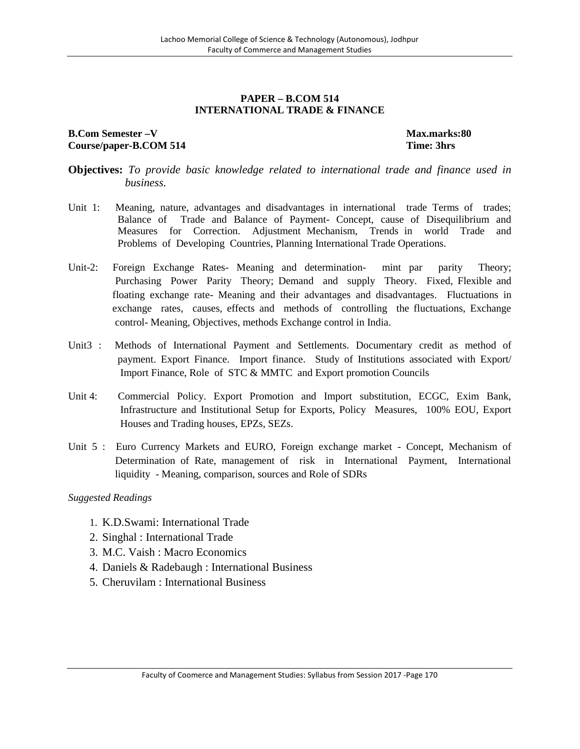#### **PAPER – B.COM 514 INTERNATIONAL TRADE & FINANCE**

## **B.Com Semester –V Max.marks:80 Course/paper-B.COM 514 Time: 3hrs**

- **Objectives:** *To provide basic knowledge related to international trade and finance used in business.*
- Unit 1: Meaning, nature, advantages and disadvantages in international trade Terms of trades; Balance of Trade and Balance of Payment- Concept, cause of Disequilibrium and Measures for Correction. Adjustment Mechanism, Trends in world Trade and Problems of Developing Countries, Planning International Trade Operations.
- Unit-2: Foreign Exchange Rates- Meaning and determination- mint par parity Theory; Purchasing Power Parity Theory; Demand and supply Theory. Fixed, Flexible and floating exchange rate- Meaning and their advantages and disadvantages. Fluctuations in exchange rates, causes, effects and methods of controlling the fluctuations, Exchange control- Meaning, Objectives, methods Exchange control in India.
- Unit3 : Methods of International Payment and Settlements. Documentary credit as method of payment. Export Finance. Import finance. Study of Institutions associated with Export/ Import Finance, Role of STC & MMTC and Export promotion Councils
- Unit 4: Commercial Policy. Export Promotion and Import substitution, ECGC, Exim Bank, Infrastructure and Institutional Setup for Exports, Policy Measures, 100% EOU, Export Houses and Trading houses, EPZs, SEZs.
- Unit 5 : Euro Currency Markets and EURO, Foreign exchange market Concept, Mechanism of Determination of Rate, management of risk in International Payment, International liquidity - Meaning, comparison, sources and Role of SDRs

- 1. K.D.Swami: International Trade
- 2. Singhal : International Trade
- 3. M.C. Vaish : Macro Economics
- 4. Daniels & Radebaugh : International Business
- 5. Cheruvilam : International Business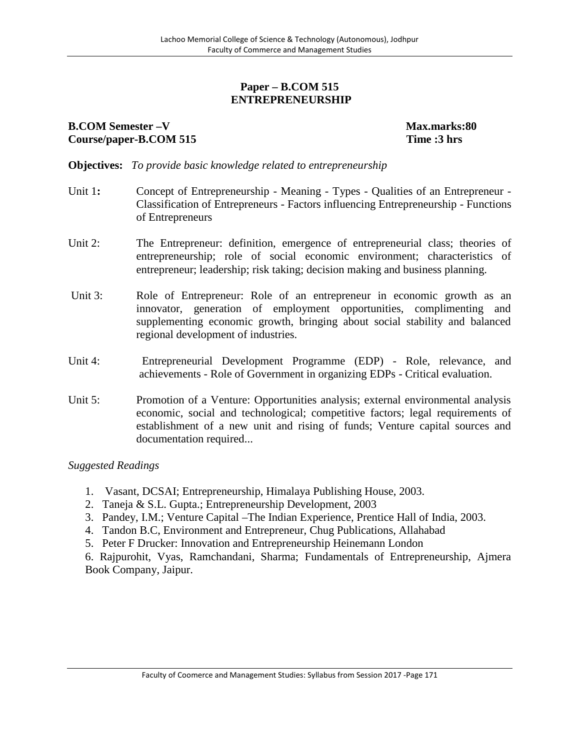# **Paper – B.COM 515 ENTREPRENEURSHIP**

# **B.COM Semester –V Max.marks:80 Course/paper-B.COM 515 Time :3 hrs**

**Objectives:** *To provide basic knowledge related to entrepreneurship*

- Unit 1: Concept of Entrepreneurship Meaning Types Qualities of an Entrepreneur -Classification of Entrepreneurs - Factors influencing Entrepreneurship - Functions of Entrepreneurs
- Unit 2: The Entrepreneur: definition, emergence of entrepreneurial class; theories of entrepreneurship; role of social economic environment; characteristics of entrepreneur; leadership; risk taking; decision making and business planning.
- Unit 3: Role of Entrepreneur: Role of an entrepreneur in economic growth as an innovator, generation of employment opportunities, complimenting and supplementing economic growth, bringing about social stability and balanced regional development of industries.
- Unit 4: Entrepreneurial Development Programme (EDP) Role, relevance, and achievements - Role of Government in organizing EDPs - Critical evaluation.
- Unit 5: Promotion of a Venture: Opportunities analysis; external environmental analysis economic, social and technological; competitive factors; legal requirements of establishment of a new unit and rising of funds; Venture capital sources and documentation required...

*Suggested Readings*

- 1. Vasant, DCSAI; Entrepreneurship, Himalaya Publishing House, 2003.
- 2. Taneja & S.L. Gupta.; Entrepreneurship Development, 2003
- 3. Pandey, I.M.; Venture Capital –The Indian Experience, Prentice Hall of India, 2003.
- 4. Tandon B.C, Environment and Entrepreneur, Chug Publications, Allahabad
- 5. Peter F Drucker: Innovation and Entrepreneurship Heinemann London

6. Rajpurohit, Vyas, Ramchandani, Sharma; Fundamentals of Entrepreneurship, Ajmera Book Company, Jaipur.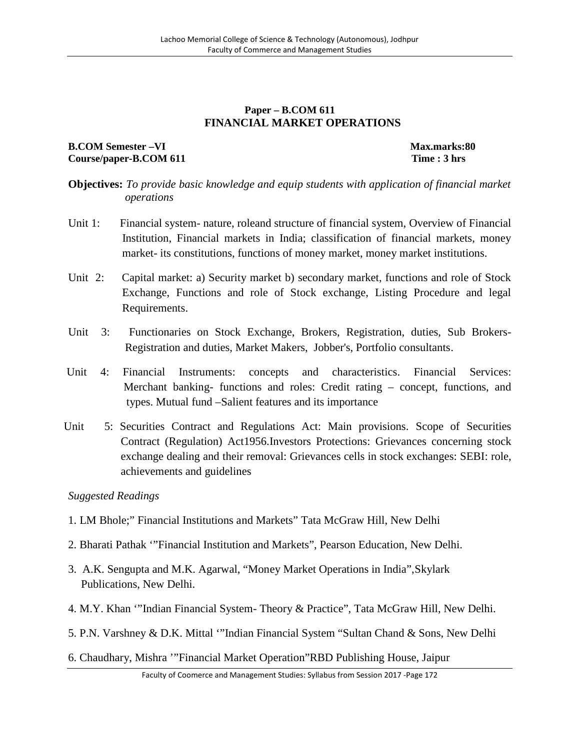# **Paper – B.COM 611 FINANCIAL MARKET OPERATIONS**

# **B.COM Semester –VI Max.marks:80 Course/paper-B.COM 611 Time : 3 hrs**

**Objectives:** *To provide basic knowledge and equip students with application of financial market operations*

- Unit 1: Financial system- nature, roleand structure of financial system, Overview of Financial Institution, Financial markets in India; classification of financial markets, money market- its constitutions, functions of money market, money market institutions.
- Unit 2: Capital market: a) Security market b) secondary market, functions and role of Stock Exchange, Functions and role of Stock exchange, Listing Procedure and legal Requirements.
- Unit 3: Functionaries on Stock Exchange, Brokers, Registration, duties, Sub Brokers- Registration and duties, Market Makers, Jobber's, Portfolio consultants.
- Unit 4: Financial Instruments: concepts and characteristics. Financial Services: Merchant banking- functions and roles: Credit rating – concept, functions, and types. Mutual fund –Salient features and its importance
- Unit 5: Securities Contract and Regulations Act: Main provisions. Scope of Securities Contract (Regulation) Act1956.Investors Protections: Grievances concerning stock exchange dealing and their removal: Grievances cells in stock exchanges: SEBI: role, achievements and guidelines

- 1. LM Bhole;" Financial Institutions and Markets" Tata McGraw Hill, New Delhi
- 2. Bharati Pathak '"Financial Institution and Markets", Pearson Education, New Delhi.
- 3. A.K. Sengupta and M.K. Agarwal, "Money Market Operations in India",Skylark Publications, New Delhi.
- 4. M.Y. Khan '"Indian Financial System- Theory & Practice", Tata McGraw Hill, New Delhi.
- 5. P.N. Varshney & D.K. Mittal '"Indian Financial System "Sultan Chand & Sons, New Delhi
- 6. Chaudhary, Mishra '"Financial Market Operation"RBD Publishing House, Jaipur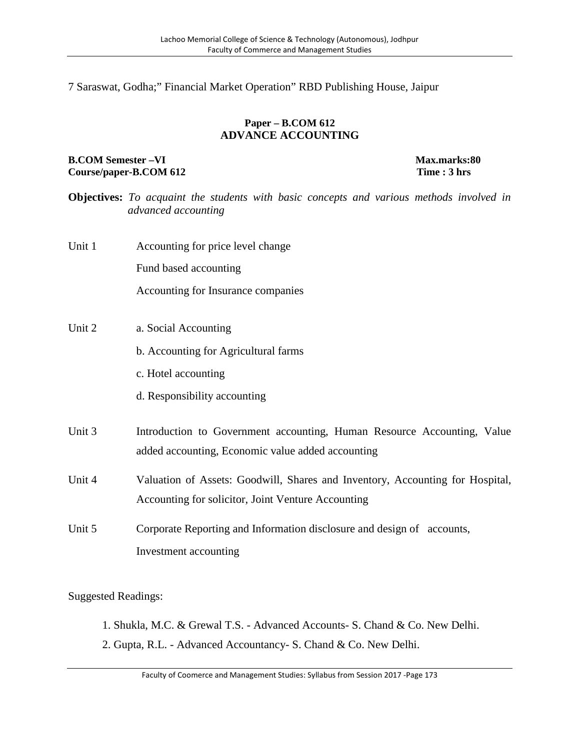7 Saraswat, Godha;" Financial Market Operation" RBD Publishing House, Jaipur

# **Paper – B.COM 612 ADVANCE ACCOUNTING**

## **B.COM** Semester –**VI Max.marks:80**<br> **Course/paper-B.COM** 612 **Time** : 3 hrs  $Course/paper-B. COM 612$

**Objectives:** *To acquaint the students with basic concepts and various methods involved in advanced accounting*

Unit 1 Accounting for price level change

Fund based accounting

Accounting for Insurance companies

- Unit 2 a. Social Accounting
	- b. Accounting for Agricultural farms
	- c. Hotel accounting
	- d. Responsibility accounting
- Unit 3 Introduction to Government accounting, Human Resource Accounting, Value added accounting, Economic value added accounting

Unit 4 Valuation of Assets: Goodwill, Shares and Inventory, Accounting for Hospital, Accounting for solicitor, Joint Venture Accounting

Unit 5 Corporate Reporting and Information disclosure and design of accounts, Investment accounting

- 1. Shukla, M.C. & Grewal T.S. Advanced Accounts- S. Chand & Co. New Delhi.
- 2. Gupta, R.L. Advanced Accountancy- S. Chand & Co. New Delhi.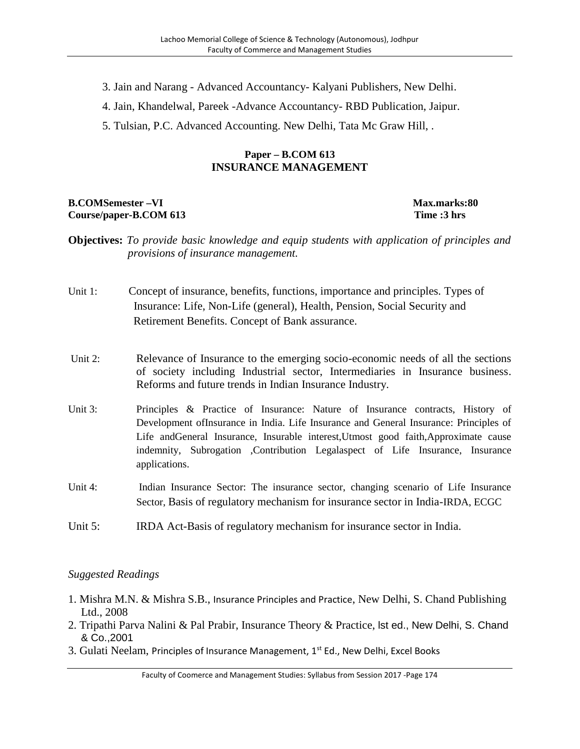- 3. Jain and Narang Advanced Accountancy- Kalyani Publishers, New Delhi.
- 4. Jain, Khandelwal, Pareek -Advance Accountancy- RBD Publication, Jaipur.
- 5. Tulsian, P.C. Advanced Accounting. New Delhi, Tata Mc Graw Hill, .

# **Paper – B.COM 613 INSURANCE MANAGEMENT**

# **B.COMSemester –VI Max.marks:80 Course/paper-B.COM 613 Time :3 hrs**

- **Objectives:** *To provide basic knowledge and equip students with application of principles and provisions of insurance management.*
- Unit 1: Concept of insurance, benefits, functions, importance and principles. Types of Insurance: Life, Non-Life (general), Health, Pension, Social Security and Retirement Benefits. Concept of Bank assurance.
- Unit 2: Relevance of Insurance to the emerging socio-economic needs of all the sections of society including Industrial sector, Intermediaries in Insurance business. Reforms and future trends in Indian Insurance Industry.
- Unit 3: Principles & Practice of Insurance: Nature of Insurance contracts, History of Development ofInsurance in India. Life Insurance and General Insurance: Principles of Life andGeneral Insurance, Insurable interest,Utmost good faith,Approximate cause indemnity, Subrogation ,Contribution Legalaspect of Life Insurance, Insurance applications.
- Unit 4: Indian Insurance Sector: The insurance sector, changing scenario of Life Insurance Sector, Basis of regulatory mechanism for insurance sector in India-IRDA, ECGC
- Unit 5: **IRDA Act-Basis of regulatory mechanism for insurance sector in India.**

- 1. Mishra M.N. & Mishra S.B., Insurance Principles and Practice, New Delhi, S. Chand Publishing Ltd., 2008
- 2. Tripathi Parva Nalini & Pal Prabir, Insurance Theory & Practice, lst ed., New Delhi, S. Chand & Co.,2001
- 3. Gulati Neelam, Principles of Insurance Management, 1<sup>st</sup> Ed., New Delhi, Excel Books